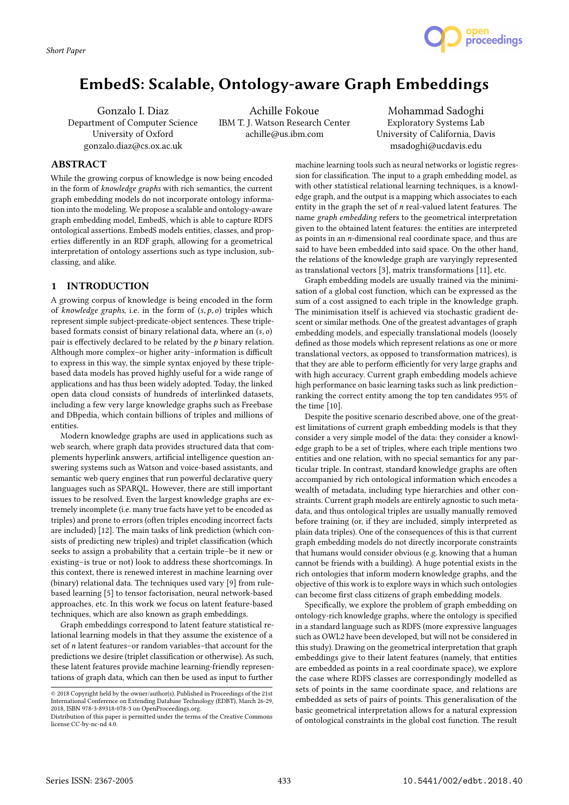

Gonzalo I. Diaz Department of Computer Science University of Oxford gonzalo.diaz@cs.ox.ac.uk

Achille Fokoue IBM T. J. Watson Research Center achille@us.ibm.com

Mohammad Sadoghi Exploratory Systems Lab University of California, Davis msadoghi@ucdavis.edu

proceedings

## **ABSTRACT**

While the growing corpus of knowledge is now being encoded in the form of knowledge graphs with rich semantics, the current graph embedding models do not incorporate ontology information into the modeling. We propose a scalable and ontology-aware graph embedding model, EmbedS, which is able to capture RDFS ontological assertions. EmbedS models entities, classes, and properties differently in an RDF graph, allowing for a geometrical interpretation of ontology assertions such as type inclusion, subclassing, and alike.

# 1 INTRODUCTION

A growing corpus of knowledge is being encoded in the form of knowledge graphs, i.e. in the form of  $(s, p, o)$  triples which represent simple subject-predicate-object sentences. These triplebased formats consist of binary relational data, where an  $(s, o)$ pair is effectively declared to be related by the  $p$  binary relation. Although more complex–or higher arity–information is difficult to express in this way, the simple syntax enjoyed by these triplebased data models has proved highly useful for a wide range of applications and has thus been widely adopted. Today, the linked open data cloud consists of hundreds of interlinked datasets, including a few very large knowledge graphs such as Freebase and DBpedia, which contain billions of triples and millions of entities.

Modern knowledge graphs are used in applications such as web search, where graph data provides structured data that complements hyperlink answers, artificial intelligence question answering systems such as Watson and voice-based assistants, and semantic web query engines that run powerful declarative query languages such as SPARQL. However, there are still important issues to be resolved. Even the largest knowledge graphs are extremely incomplete (i.e. many true facts have yet to be encoded as triples) and prone to errors (often triples encoding incorrect facts are included) [12]. The main tasks of link prediction (which consists of predicting new triples) and triplet classification (which seeks to assign a probability that a certain triple–be it new or existing–is true or not) look to address these shortcomings. In this context, there is renewed interest in machine learning over (binary) relational data. The techniques used vary [9] from rulebased learning [5] to tensor factorisation, neural network-based approaches, etc. In this work we focus on latent feature-based techniques, which are also known as graph embeddings.

Graph embeddings correspond to latent feature statistical relational learning models in that they assume the existence of a set of n latent features–or random variables–that account for the predictions we desire (triplet classification or otherwise). As such, these latent features provide machine learning-friendly representations of graph data, which can then be used as input to further

machine learning tools such as neural networks or logistic regression for classification. The input to a graph embedding model, as with other statistical relational learning techniques, is a knowledge graph, and the output is a mapping which associates to each entity in the graph the set of n real-valued latent features. The name graph embedding refers to the geometrical interpretation given to the obtained latent features: the entities are interpreted as points in an n-dimensional real coordinate space, and thus are said to have been embedded into said space. On the other hand, the relations of the knowledge graph are varyingly represented as translational vectors [3], matrix transformations [11], etc.

Graph embedding models are usually trained via the minimisation of a global cost function, which can be expressed as the sum of a cost assigned to each triple in the knowledge graph. The minimisation itself is achieved via stochastic gradient descent or similar methods. One of the greatest advantages of graph embedding models, and especially translational models (loosely defined as those models which represent relations as one or more translational vectors, as opposed to transformation matrices), is that they are able to perform efficiently for very large graphs and with high accuracy. Current graph embedding models achieve high performance on basic learning tasks such as link prediction– ranking the correct entity among the top ten candidates 95% of the time [10].

Despite the positive scenario described above, one of the greatest limitations of current graph embedding models is that they consider a very simple model of the data: they consider a knowledge graph to be a set of triples, where each triple mentions two entities and one relation, with no special semantics for any particular triple. In contrast, standard knowledge graphs are often accompanied by rich ontological information which encodes a wealth of metadata, including type hierarchies and other constraints. Current graph models are entirely agnostic to such metadata, and thus ontological triples are usually manually removed before training (or, if they are included, simply interpreted as plain data triples). One of the consequences of this is that current graph embedding models do not directly incorporate constraints that humans would consider obvious (e.g. knowing that a human cannot be friends with a building). A huge potential exists in the rich ontologies that inform modern knowledge graphs, and the objective of this work is to explore ways in which such ontologies can become first class citizens of graph embedding models.

Specifically, we explore the problem of graph embedding on ontology-rich knowledge graphs, where the ontology is specified in a standard language such as RDFS (more expressive languages such as OWL2 have been developed, but will not be considered in this study). Drawing on the geometrical interpretation that graph embeddings give to their latent features (namely, that entities are embedded as points in a real coordinate space), we explore the case where RDFS classes are correspondingly modelled as sets of points in the same coordinate space, and relations are embedded as sets of pairs of points. This generalisation of the basic geometrical interpretation allows for a natural expression of ontological constraints in the global cost function. The result

<sup>©</sup> 2018 Copyright held by the owner/author(s). Published in Proceedings of the 21st International Conference on Extending Database Technology (EDBT), March 26-29, 2018, ISBN 978-3-89318-078-3 on OpenProceedings.org.

Distribution of this paper is permitted under the terms of the Creative Commons license CC-by-nc-nd 4.0.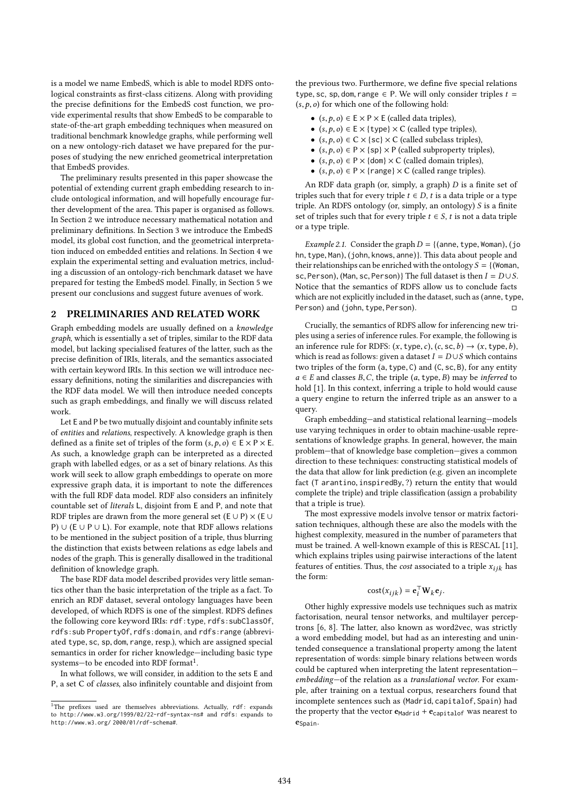is a model we name EmbedS, which is able to model RDFS ontological constraints as first-class citizens. Along with providing the precise definitions for the EmbedS cost function, we provide experimental results that show EmbedS to be comparable to state-of-the-art graph embedding techniques when measured on traditional benchmark knowledge graphs, while performing well on a new ontology-rich dataset we have prepared for the purposes of studying the new enriched geometrical interpretation that EmbedS provides.

The preliminary results presented in this paper showcase the potential of extending current graph embedding research to include ontological information, and will hopefully encourage further development of the area. This paper is organised as follows. In Section 2 we introduce necessary mathematical notation and preliminary definitions. In Section 3 we introduce the EmbedS model, its global cost function, and the geometrical interpretation induced on embedded entities and relations. In Section 4 we explain the experimental setting and evaluation metrics, including a discussion of an ontology-rich benchmark dataset we have prepared for testing the EmbedS model. Finally, in Section 5 we present our conclusions and suggest future avenues of work.

## 2 PRELIMINARIES AND RELATED WORK

Graph embedding models are usually defined on a knowledge graph, which is essentially a set of triples, similar to the RDF data model, but lacking specialised features of the latter, such as the precise definition of IRIs, literals, and the semantics associated with certain keyword IRIs. In this section we will introduce necessary definitions, noting the similarities and discrepancies with the RDF data model. We will then introduce needed concepts such as graph embeddings, and finally we will discuss related work.

Let E and P be two mutually disjoint and countably infinite sets of entities and relations, respectively. A knowledge graph is then defined as a finite set of triples of the form  $(s, p, o) \in E \times P \times E$ . As such, a knowledge graph can be interpreted as a directed graph with labelled edges, or as a set of binary relations. As this work will seek to allow graph embeddings to operate on more expressive graph data, it is important to note the differences with the full RDF data model. RDF also considers an infinitely countable set of literals L, disjoint from E and P, and note that RDF triples are drawn from the more general set (E ∪ P)  $\times$  (E ∪ P) ∪ (E ∪ P ∪ L). For example, note that RDF allows relations to be mentioned in the subject position of a triple, thus blurring the distinction that exists between relations as edge labels and nodes of the graph. This is generally disallowed in the traditional definition of knowledge graph.

The base RDF data model described provides very little semantics other than the basic interpretation of the triple as a fact. To enrich an RDF dataset, several ontology languages have been developed, of which RDFS is one of the simplest. RDFS defines the following core keyword IRIs: rdf:type, rdfs:subClassOf, rdfs:sub PropertyOf, rdfs:domain, and rdfs:range (abbreviated type, sc, sp, dom, range, resp.), which are assigned special semantics in order for richer knowledge—including basic type systems-to be encoded into RDF format $^1.$ 

In what follows, we will consider, in addition to the sets E and P, a set C of classes, also infinitely countable and disjoint from

the previous two. Furthermore, we define five special relations type, sc, sp, dom, range  $\in$  P. We will only consider triples  $t =$  $(s, p, o)$  for which one of the following hold:

- $(s, p, o) \in E \times P \times E$  (called data triples),
- $(s, p, o) \in E \times \{ \text{type} \} \times C$  (called type triples),
- $(s, p, o) \in C \times \{sc\} \times C$  (called subclass triples),
- $(s, p, o) \in P \times \{sp\} \times P$  (called subproperty triples),
- $(s, p, o) \in P \times \{dom\} \times C$  (called domain triples),
- $(s, p, o) \in P \times \{ \text{range} \} \times C$  (called range triples).

An RDF data graph (or, simply, a graph)  $D$  is a finite set of triples such that for every triple  $t \in D$ , t is a data triple or a type triple. An RDFS ontology (or, simply, an ontology) S is a finite set of triples such that for every triple  $t \in S$ , t is not a data triple or a type triple.

*Example 2.1.* Consider the graph  $D = \{(\text{anne}, \text{type}, \text{Women}), (\text{jo})\}$ hn, type, Man), (john, knows, anne)}. This data about people and their relationships can be enriched with the ontology  $S = \{$  (Woman, sc, Person), (Man, sc, Person)} The full dataset is then  $I = D \cup S$ . Notice that the semantics of RDFS allow us to conclude facts which are not explicitly included in the dataset, such as (anne, type,  $Person$ ) and (iohn, type, Person). Person) and (john, type, Person).

Crucially, the semantics of RDFS allow for inferencing new triples using a series of inference rules. For example, the following is an inference rule for RDFS:  $(x, \text{type}, c)$ ,  $(c, \text{sc}, b) \rightarrow (x, \text{type}, b)$ , which is read as follows: given a dataset  $I = D \cup S$  which contains two triples of the form (a, type, <sup>C</sup>) and (C, sc, <sup>B</sup>), for any entity  $a \in E$  and classes B, C, the triple  $(a, \text{type}, B)$  may be inferred to hold [1]. In this context, inferring a triple to hold would cause a query engine to return the inferred triple as an answer to a query.

Graph embedding—and statistical relational learning—models use varying techniques in order to obtain machine-usable representations of knowledge graphs. In general, however, the main problem—that of knowledge base completion—gives a common direction to these techniques: constructing statistical models of the data that allow for link prediction (e.g. given an incomplete fact (T arantino, inspiredBy, ?) return the entity that would complete the triple) and triple classification (assign a probability that a triple is true).

The most expressive models involve tensor or matrix factorisation techniques, although these are also the models with the highest complexity, measured in the number of parameters that must be trained. A well-known example of this is RESCAL [11], which explains triples using pairwise interactions of the latent features of entities. Thus, the *cost* associated to a triple  $x_{ijk}$  has the form:

$$
cost(x_{ijk}) = \mathbf{e}_i^\top \mathbf{W}_k \mathbf{e}_j.
$$

Other highly expressive models use techniques such as matrix factorisation, neural tensor networks, and multilayer perceptrons [6, 8]. The latter, also known as word2vec, was strictly a word embedding model, but had as an interesting and unintended consequence a translational property among the latent representation of words: simple binary relations between words could be captured when interpreting the latent representation embedding—of the relation as a translational vector. For example, after training on a textual corpus, researchers found that incomplete sentences such as (Madrid, capitalof, Spain) had the property that the vector  $e_{\text{Madrid}} + e_{\text{caoidalof}}$  was nearest to eSpain.

<sup>&</sup>lt;sup>1</sup>The prefixes used are themselves abbreviations. Actually, rdf: expands to http://www.w3.org/1999/02/22-rdf-syntax-ns# and rdfs: expands to http://www.w3.org/ 2000/01/rdf-schema#.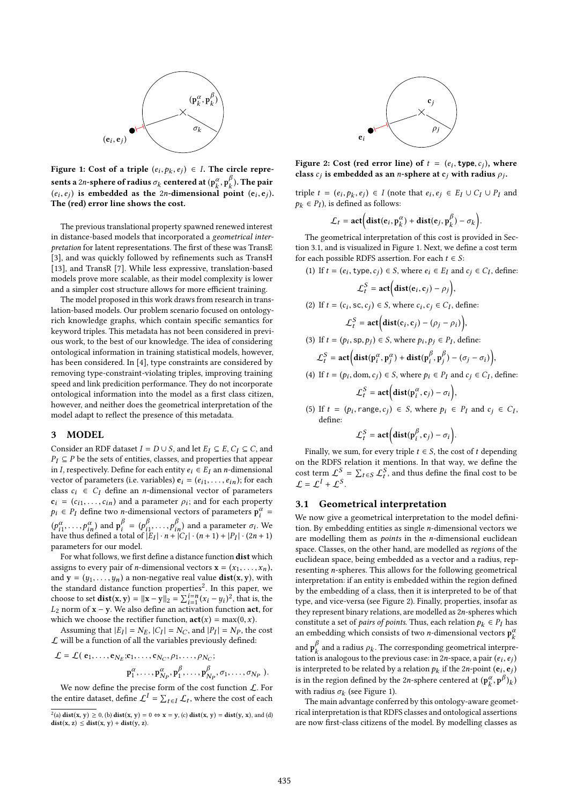

Figure 1: Cost of a triple  $(e_i, p_k, e_j) \in I$ . The circle represents a 2n-sphere of radius  $\sigma_k$  centered at  $(p_k^{\alpha}, p_k^{\beta})$ . The pair  $(e_i, e_j)$  is embedded as the 2n-dimensional point  $(e_i, e_j)$ .<br>The (red) error line shows the cost , ej The (red) error line shows the cost.

The previous translational property spawned renewed interest in distance-based models that incorporated a geometrical interpretation for latent representations. The first of these was TransE [3], and was quickly followed by refinements such as TransH [13], and TransR [7]. While less expressive, translation-based models prove more scalable, as their model complexity is lower and a simpler cost structure allows for more efficient training.

The model proposed in this work draws from research in translation-based models. Our problem scenario focused on ontologyrich knowledge graphs, which contain specific semantics for keyword triples. This metadata has not been considered in previous work, to the best of our knowledge. The idea of considering ontological information in training statistical models, however, has been considered. In [4], type constraints are considered by removing type-constraint-violating triples, improving training speed and link predicition performance. They do not incorporate ontological information into the model as a first class citizen, however, and neither does the geometrical interpretation of the model adapt to reflect the presence of this metadata.

# 3 MODEL

Consider an RDF dataset  $I = D \cup S$ , and let  $E_I \subseteq E$ ,  $C_I \subseteq C$ , and  $P_I \subseteq P$  be the sets of entities, classes, and properties that appear in I, respectively. Define for each entity  $e_i \in E_I$  an *n*-dimensional vector of parameters (i.e. variables)  $e_i = (e_{i1}, \ldots, e_{in})$ ; for each class  $c_i \in C_I$  define an *n*-dimensional vector of parameters  $c_i = (c_{i1}, \ldots, c_{in})$  and a parameter  $\rho_i$ ; and for each property<br> $c_i \in P_i$  define two *n*-dimensional vectors of parameters  $p^{\alpha}$  $p_i \in P_I$  define two *n*-dimensional vectors of parameters  $p_i^{\alpha} =$  $(p_{i1}^{\alpha},...,p_{in}^{\alpha})$  and  $p_{i}^{\beta} = (p_{i1}^{\beta},...,p_{in}^{\beta})$  and a parameter  $\sigma_{i}$ . We have thus defined a total of  $|E_{I}| \cdot n + |C_{I}| \cdot (n+1) + |P_{I}| \cdot (2n+1)$  $\psi_{i1}, \dots, \psi_{in}$  and  $\psi_i = \psi_{i1}, \dots, \psi_{in}$  and a parameter  $\sigma_i$ , we<br>have thus defined a total of  $|E_I| \cdot n + |C_I| \cdot (n+1) + |P_I| \cdot (2n+1)$ parameters for our model.

For what follows, we first define a distance function dist which assigns to every pair of *n*-dimensional vectors  $\mathbf{x} = (x_1, \dots, x_n)$ , and  $y = (y_1, \ldots, y_n)$  a non-negative real value  $dist(x, y)$ , with the standard distance function properties<sup>2</sup>. In this paper, we choose to set  $dist(x, y) = ||x - y||_2 = \sum_{i=1}^{i=n} (x_i - y_i)^2$ , that is, the  $I_2$  norm of  $x - y$ . We also define an activation function act, for the choice to set  $\textbf{u}_s(x, y) = ||x - y||_2 - \sum_{i=1}^{\infty} (x_i - y_i)$ , that is, the  $L_2$  norm of  $x - y$ . We also define an activation function **act**, for which we choose the rectifier function  $\textbf{act}(x) = \textbf{m}(\mathbf{v})(x)$ which we choose the rectifier function,  $\text{act}(x) = \max(0, x)$ .

Assuming that  $|E_I| = N_E$ ,  $|C_I| = N_C$ , and  $|P_I| = N_P$ , the cost<br>will be a function of all the variables previously defined.  $\mathcal L$  will be a function of all the variables previously defined:

$$
\mathcal{L} = \mathcal{L}(e_1, \dots, e_{N_E}; c_1, \dots, c_{N_C}, \rho_1, \dots, \rho_{N_C};
$$

$$
p_1^{\alpha}, \dots, p_{N_P}^{\alpha}, p_1^{\beta}, \dots, p_{N_P}^{\beta}, \sigma_1, \dots, \sigma_{N_P}).
$$

We now define the precise form of the cost function  $\mathcal{L}$ . For the entire dataset, define  $\mathcal{L}^I = \sum_{t \in I} \mathcal{L}_t$ , where the cost of each



Figure 2: Cost (red error line) of  $t = (e_i, \text{type}, c_j)$ , where<br>class c, is embedded as an *n*-sphere at c, with radius q. class  $c_j$  is embedded as an *n*-sphere at  $c_j$  with radius  $\rho_j$ .

triple  $t = (e_i, p_k, e_j) \in I$  (note that  $e_i, e_j \in E_I \cup C_I \cup P_I$  and  $e_i \in P_I$ ) is defined as follows:  $p_k \in P_I$ ), is defined as follows:

$$
\mathcal{L}_t = \text{act}\Big(\text{dist}(e_i, p_k^{\alpha}) + \text{dist}(e_j, p_k^{\beta}) - \sigma_k\Big).
$$

The geometrical interpretation of this cost is provided in Section 3.1, and is visualized in Figure 1. Next, we define a cost term for each possible RDFS assertion. For each  $t \in S$ :

(1) If  $t = (e_i, \text{type}, c_j) \in S$ , where  $e_i \in E_I$  and  $c_j \in C_I$ , define:

$$
\mathcal{L}_t^S = \textbf{act}\Big(\textbf{dist}(\mathbf{e}_i, \mathbf{c}_j) - \rho_j\Big),
$$

(2) If 
$$
t = (c_i, \text{sc}, c_j) \in S
$$
, where  $c_i, c_j \in C_I$ , define:

$$
\mathcal{L}_t^S = \textbf{act}\Big(\textbf{dist}(\mathbf{c}_i, \mathbf{c}_j) - (\rho_j - \rho_i)\Big),
$$

(3) If  $t = (p_i, sp, p_j) \in S$ , where  $p_i, p_j \in P_I$ , define:

$$
\mathcal{L}_t^S = \textbf{act}\Big(\textbf{dist}(\mathbf{p}_i^{\alpha}, \mathbf{p}_j^{\alpha}) + \textbf{dist}(\mathbf{p}_i^{\beta}, \mathbf{p}_j^{\beta}) - (\sigma_j - \sigma_i)\Big),
$$

(4) If  $t = (p_i, \text{dom}, c_j) \in S$ , where  $p_i \in P_I$  and  $c_j \in C_I$ , define:

$$
\mathcal{L}_t^S = \textbf{act}\Big(\textbf{dist}(\mathbf{p}_i^{\alpha}, \mathbf{c}_j) - \sigma_i\Big),
$$

(5) If  $t = (p_i, \text{range}, c_j) \in S$ , where  $p_i \in P_I$  and  $c_j \in C_I$ , define: define:

$$
\mathcal{L}_t^S = \textbf{act}\Big(\textbf{dist}(\mathbf{p}_i^{\beta}, \mathbf{c}_j) - \sigma_i\Big).
$$

Finally, we sum, for every triple  $t \in S$ , the cost of t depending on the RDFS relation it mentions. In that way, we define the cost term  $\mathcal{L}^S = \sum_{t \in S} \mathcal{L}^S_t$ , and thus define the final cost to be  $\mathcal{L} = \mathcal{L}^I + \mathcal{L}^S.$ 

#### 3.1 Geometrical interpretation

We now give a geometrical interpretation to the model definition. By embedding entities as single n-dimensional vectors we are modelling them as *points* in the  $n$ -dimensional euclidean space. Classes, on the other hand, are modelled as regions of the euclidean space, being embedded as a vector and a radius, representing n-spheres. This allows for the following geometrical interpretation: if an entity is embedded within the region defined by the embedding of a class, then it is interpreted to be of that type, and vice-versa (see Figure 2). Finally, properties, insofar as they represent binary relations, are modelled as <sup>2</sup>n-spheres which constitute a set of *pairs of points*. Thus, each relation  $p_k \in P_I$  has an embedding which consists of two *n*-dimensional vectors  $\mathbf{p}_k^a$ and  $\mathbf{p}_k^{\beta}$  and a radius  $\rho_k$ . The corresponding geometrical interpre-<br>tation is analogous to the previous case; in 2n-space, a pair  $(e_i, e_j)$ tation is analogous to the previous case: in 2*n*-space, a pair  $(e_i, e_j)$ <br>is interpreted to be related by a relation  $h_i$ , if the 2*n*-point  $(e_i, e_j)$ is interpreted to be related by a relation  $p_k$  if the 2n-point  $(e_i, e_j)$ is in the region defined by the 2n-sphere centered at  $(\mathbf{p}_k^{\alpha}, \mathbf{p}^{\beta})_k$ 

with radius  $\sigma_k$  (see Figure 1).<br>The main advantage confer The main advantage conferred by this ontology-aware geometrical interpretation is that RDFS classes and ontological assertions are now first-class citizens of the model. By modelling classes as

 $\mathcal{L}^2(\mathbf{a}) \, \text{dist}(\mathbf{x}, \mathbf{y}) \ge 0$ , (b)  $\text{dist}(\mathbf{x}, \mathbf{y}) = 0 \Leftrightarrow \mathbf{x} = \mathbf{y}$ , (c)  $\text{dist}(\mathbf{x}, \mathbf{y}) = \text{dist}(\mathbf{y}, \mathbf{x})$ , and (d)  $\text{dist}(\mathbf{x}, \mathbf{y}) \le \text{dist}(\mathbf{x}, \mathbf{y}) + \text{dist}(\mathbf{y}, \mathbf{z})$  $dist(x, z) \leq dist(x, y) + dist(y, z).$